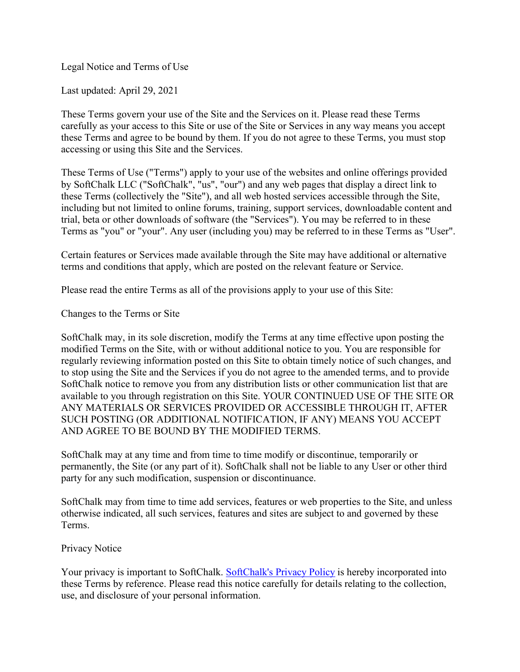Legal Notice and Terms of Use

Last updated: April 29, 2021

These Terms govern your use of the Site and the Services on it. Please read these Terms carefully as your access to this Site or use of the Site or Services in any way means you accept these Terms and agree to be bound by them. If you do not agree to these Terms, you must stop accessing or using this Site and the Services.

These Terms of Use ("Terms") apply to your use of the websites and online offerings provided by SoftChalk LLC ("SoftChalk", "us", "our") and any web pages that display a direct link to these Terms (collectively the "Site"), and all web hosted services accessible through the Site, including but not limited to online forums, training, support services, downloadable content and trial, beta or other downloads of software (the "Services"). You may be referred to in these Terms as "you" or "your". Any user (including you) may be referred to in these Terms as "User".

Certain features or Services made available through the Site may have additional or alternative terms and conditions that apply, which are posted on the relevant feature or Service.

Please read the entire Terms as all of the provisions apply to your use of this Site:

Changes to the Terms or Site

SoftChalk may, in its sole discretion, modify the Terms at any time effective upon posting the modified Terms on the Site, with or without additional notice to you. You are responsible for regularly reviewing information posted on this Site to obtain timely notice of such changes, and to stop using the Site and the Services if you do not agree to the amended terms, and to provide SoftChalk notice to remove you from any distribution lists or other communication list that are available to you through registration on this Site. YOUR CONTINUED USE OF THE SITE OR ANY MATERIALS OR SERVICES PROVIDED OR ACCESSIBLE THROUGH IT, AFTER SUCH POSTING (OR ADDITIONAL NOTIFICATION, IF ANY) MEANS YOU ACCEPT AND AGREE TO BE BOUND BY THE MODIFIED TERMS.

SoftChalk may at any time and from time to time modify or discontinue, temporarily or permanently, the Site (or any part of it). SoftChalk shall not be liable to any User or other third party for any such modification, suspension or discontinuance.

SoftChalk may from time to time add services, features or web properties to the Site, and unless otherwise indicated, all such services, features and sites are subject to and governed by these Terms.

### Privacy Notice

Your privacy is important to SoftChalk. [SoftChalk's Privacy](https://www.softchalkcloud.com/privacy) Policy is hereby incorporated into these Terms by reference. Please read this notice carefully for details relating to the collection, use, and disclosure of your personal information.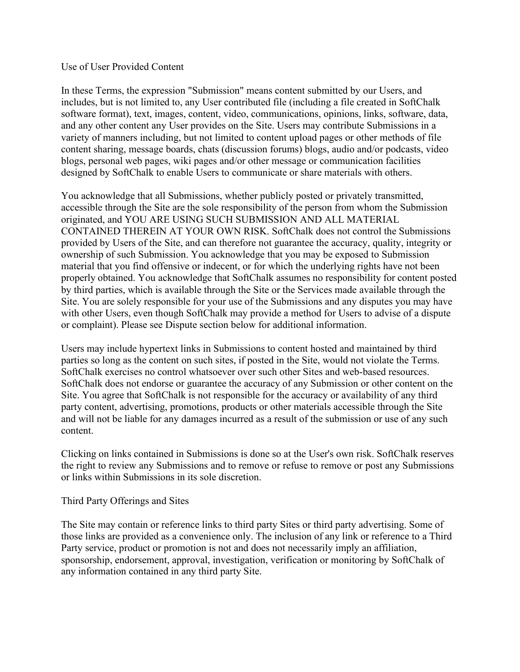#### Use of User Provided Content

In these Terms, the expression "Submission" means content submitted by our Users, and includes, but is not limited to, any User contributed file (including a file created in SoftChalk software format), text, images, content, video, communications, opinions, links, software, data, and any other content any User provides on the Site. Users may contribute Submissions in a variety of manners including, but not limited to content upload pages or other methods of file content sharing, message boards, chats (discussion forums) blogs, audio and/or podcasts, video blogs, personal web pages, wiki pages and/or other message or communication facilities designed by SoftChalk to enable Users to communicate or share materials with others.

You acknowledge that all Submissions, whether publicly posted or privately transmitted, accessible through the Site are the sole responsibility of the person from whom the Submission originated, and YOU ARE USING SUCH SUBMISSION AND ALL MATERIAL CONTAINED THEREIN AT YOUR OWN RISK. SoftChalk does not control the Submissions provided by Users of the Site, and can therefore not guarantee the accuracy, quality, integrity or ownership of such Submission. You acknowledge that you may be exposed to Submission material that you find offensive or indecent, or for which the underlying rights have not been properly obtained. You acknowledge that SoftChalk assumes no responsibility for content posted by third parties, which is available through the Site or the Services made available through the Site. You are solely responsible for your use of the Submissions and any disputes you may have with other Users, even though SoftChalk may provide a method for Users to advise of a dispute or complaint). Please see Dispute section below for additional information.

Users may include hypertext links in Submissions to content hosted and maintained by third parties so long as the content on such sites, if posted in the Site, would not violate the Terms. SoftChalk exercises no control whatsoever over such other Sites and web-based resources. SoftChalk does not endorse or guarantee the accuracy of any Submission or other content on the Site. You agree that SoftChalk is not responsible for the accuracy or availability of any third party content, advertising, promotions, products or other materials accessible through the Site and will not be liable for any damages incurred as a result of the submission or use of any such content.

Clicking on links contained in Submissions is done so at the User's own risk. SoftChalk reserves the right to review any Submissions and to remove or refuse to remove or post any Submissions or links within Submissions in its sole discretion.

### Third Party Offerings and Sites

The Site may contain or reference links to third party Sites or third party advertising. Some of those links are provided as a convenience only. The inclusion of any link or reference to a Third Party service, product or promotion is not and does not necessarily imply an affiliation, sponsorship, endorsement, approval, investigation, verification or monitoring by SoftChalk of any information contained in any third party Site.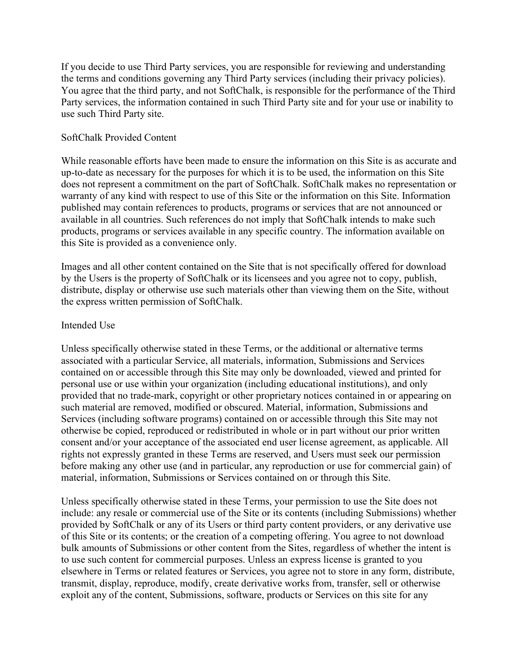If you decide to use Third Party services, you are responsible for reviewing and understanding the terms and conditions governing any Third Party services (including their privacy policies). You agree that the third party, and not SoftChalk, is responsible for the performance of the Third Party services, the information contained in such Third Party site and for your use or inability to use such Third Party site.

## SoftChalk Provided Content

While reasonable efforts have been made to ensure the information on this Site is as accurate and up-to-date as necessary for the purposes for which it is to be used, the information on this Site does not represent a commitment on the part of SoftChalk. SoftChalk makes no representation or warranty of any kind with respect to use of this Site or the information on this Site. Information published may contain references to products, programs or services that are not announced or available in all countries. Such references do not imply that SoftChalk intends to make such products, programs or services available in any specific country. The information available on this Site is provided as a convenience only.

Images and all other content contained on the Site that is not specifically offered for download by the Users is the property of SoftChalk or its licensees and you agree not to copy, publish, distribute, display or otherwise use such materials other than viewing them on the Site, without the express written permission of SoftChalk.

### Intended Use

Unless specifically otherwise stated in these Terms, or the additional or alternative terms associated with a particular Service, all materials, information, Submissions and Services contained on or accessible through this Site may only be downloaded, viewed and printed for personal use or use within your organization (including educational institutions), and only provided that no trade-mark, copyright or other proprietary notices contained in or appearing on such material are removed, modified or obscured. Material, information, Submissions and Services (including software programs) contained on or accessible through this Site may not otherwise be copied, reproduced or redistributed in whole or in part without our prior written consent and/or your acceptance of the associated end user license agreement, as applicable. All rights not expressly granted in these Terms are reserved, and Users must seek our permission before making any other use (and in particular, any reproduction or use for commercial gain) of material, information, Submissions or Services contained on or through this Site.

Unless specifically otherwise stated in these Terms, your permission to use the Site does not include: any resale or commercial use of the Site or its contents (including Submissions) whether provided by SoftChalk or any of its Users or third party content providers, or any derivative use of this Site or its contents; or the creation of a competing offering. You agree to not download bulk amounts of Submissions or other content from the Sites, regardless of whether the intent is to use such content for commercial purposes. Unless an express license is granted to you elsewhere in Terms or related features or Services, you agree not to store in any form, distribute, transmit, display, reproduce, modify, create derivative works from, transfer, sell or otherwise exploit any of the content, Submissions, software, products or Services on this site for any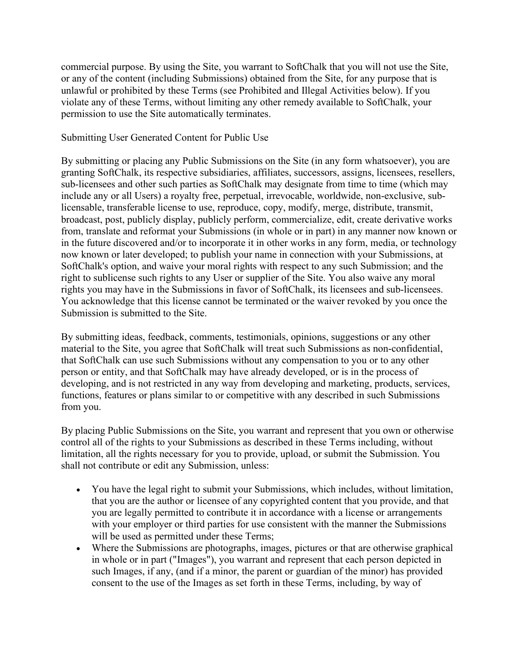commercial purpose. By using the Site, you warrant to SoftChalk that you will not use the Site, or any of the content (including Submissions) obtained from the Site, for any purpose that is unlawful or prohibited by these Terms (see Prohibited and Illegal Activities below). If you violate any of these Terms, without limiting any other remedy available to SoftChalk, your permission to use the Site automatically terminates.

## Submitting User Generated Content for Public Use

By submitting or placing any Public Submissions on the Site (in any form whatsoever), you are granting SoftChalk, its respective subsidiaries, affiliates, successors, assigns, licensees, resellers, sub-licensees and other such parties as SoftChalk may designate from time to time (which may include any or all Users) a royalty free, perpetual, irrevocable, worldwide, non-exclusive, sublicensable, transferable license to use, reproduce, copy, modify, merge, distribute, transmit, broadcast, post, publicly display, publicly perform, commercialize, edit, create derivative works from, translate and reformat your Submissions (in whole or in part) in any manner now known or in the future discovered and/or to incorporate it in other works in any form, media, or technology now known or later developed; to publish your name in connection with your Submissions, at SoftChalk's option, and waive your moral rights with respect to any such Submission; and the right to sublicense such rights to any User or supplier of the Site. You also waive any moral rights you may have in the Submissions in favor of SoftChalk, its licensees and sub-licensees. You acknowledge that this license cannot be terminated or the waiver revoked by you once the Submission is submitted to the Site.

By submitting ideas, feedback, comments, testimonials, opinions, suggestions or any other material to the Site, you agree that SoftChalk will treat such Submissions as non-confidential, that SoftChalk can use such Submissions without any compensation to you or to any other person or entity, and that SoftChalk may have already developed, or is in the process of developing, and is not restricted in any way from developing and marketing, products, services, functions, features or plans similar to or competitive with any described in such Submissions from you.

By placing Public Submissions on the Site, you warrant and represent that you own or otherwise control all of the rights to your Submissions as described in these Terms including, without limitation, all the rights necessary for you to provide, upload, or submit the Submission. You shall not contribute or edit any Submission, unless:

- You have the legal right to submit your Submissions, which includes, without limitation, that you are the author or licensee of any copyrighted content that you provide, and that you are legally permitted to contribute it in accordance with a license or arrangements with your employer or third parties for use consistent with the manner the Submissions will be used as permitted under these Terms;
- Where the Submissions are photographs, images, pictures or that are otherwise graphical in whole or in part ("Images"), you warrant and represent that each person depicted in such Images, if any, (and if a minor, the parent or guardian of the minor) has provided consent to the use of the Images as set forth in these Terms, including, by way of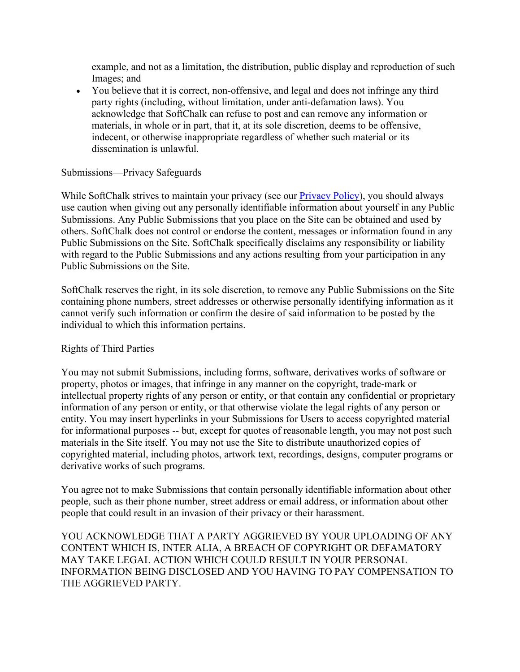example, and not as a limitation, the distribution, public display and reproduction of such Images; and

• You believe that it is correct, non-offensive, and legal and does not infringe any third party rights (including, without limitation, under anti-defamation laws). You acknowledge that SoftChalk can refuse to post and can remove any information or materials, in whole or in part, that it, at its sole discretion, deems to be offensive, indecent, or otherwise inappropriate regardless of whether such material or its dissemination is unlawful.

## Submissions—Privacy Safeguards

While SoftChalk strives to maintain your privacy (see our [Privacy Policy\)](https://www.softchalkcloud.com/privacy.html), you should always use caution when giving out any personally identifiable information about yourself in any Public Submissions. Any Public Submissions that you place on the Site can be obtained and used by others. SoftChalk does not control or endorse the content, messages or information found in any Public Submissions on the Site. SoftChalk specifically disclaims any responsibility or liability with regard to the Public Submissions and any actions resulting from your participation in any Public Submissions on the Site.

SoftChalk reserves the right, in its sole discretion, to remove any Public Submissions on the Site containing phone numbers, street addresses or otherwise personally identifying information as it cannot verify such information or confirm the desire of said information to be posted by the individual to which this information pertains.

### Rights of Third Parties

You may not submit Submissions, including forms, software, derivatives works of software or property, photos or images, that infringe in any manner on the copyright, trade-mark or intellectual property rights of any person or entity, or that contain any confidential or proprietary information of any person or entity, or that otherwise violate the legal rights of any person or entity. You may insert hyperlinks in your Submissions for Users to access copyrighted material for informational purposes -- but, except for quotes of reasonable length, you may not post such materials in the Site itself. You may not use the Site to distribute unauthorized copies of copyrighted material, including photos, artwork text, recordings, designs, computer programs or derivative works of such programs.

You agree not to make Submissions that contain personally identifiable information about other people, such as their phone number, street address or email address, or information about other people that could result in an invasion of their privacy or their harassment.

YOU ACKNOWLEDGE THAT A PARTY AGGRIEVED BY YOUR UPLOADING OF ANY CONTENT WHICH IS, INTER ALIA, A BREACH OF COPYRIGHT OR DEFAMATORY MAY TAKE LEGAL ACTION WHICH COULD RESULT IN YOUR PERSONAL INFORMATION BEING DISCLOSED AND YOU HAVING TO PAY COMPENSATION TO THE AGGRIEVED PARTY.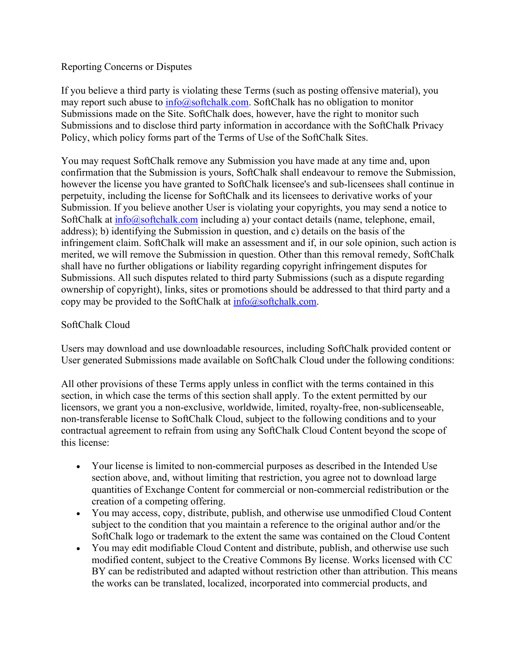## Reporting Concerns or Disputes

If you believe a third party is violating these Terms (such as posting offensive material), you may report such abuse to  $\frac{info(@)softchalk.com}{info(0)softchalk.com}$ . SoftChalk has no obligation to monitor Submissions made on the Site. SoftChalk does, however, have the right to monitor such Submissions and to disclose third party information in accordance with the SoftChalk Privacy Policy, which policy forms part of the Terms of Use of the SoftChalk Sites.

You may request SoftChalk remove any Submission you have made at any time and, upon confirmation that the Submission is yours, SoftChalk shall endeavour to remove the Submission, however the license you have granted to SoftChalk licensee's and sub-licensees shall continue in perpetuity, including the license for SoftChalk and its licensees to derivative works of your Submission. If you believe another User is violating your copyrights, you may send a notice to SoftChalk at  $\frac{info(Q)\text{soft}$ chalk.com including a) your contact details (name, telephone, email, address); b) identifying the Submission in question, and c) details on the basis of the infringement claim. SoftChalk will make an assessment and if, in our sole opinion, such action is merited, we will remove the Submission in question. Other than this removal remedy, SoftChalk shall have no further obligations or liability regarding copyright infringement disputes for Submissions. All such disputes related to third party Submissions (such as a dispute regarding ownership of copyright), links, sites or promotions should be addressed to that third party and a copy may be provided to the SoftChalk at  $info@softchalk.com$ .

## SoftChalk Cloud

Users may download and use downloadable resources, including SoftChalk provided content or User generated Submissions made available on SoftChalk Cloud under the following conditions:

All other provisions of these Terms apply unless in conflict with the terms contained in this section, in which case the terms of this section shall apply. To the extent permitted by our licensors, we grant you a non-exclusive, worldwide, limited, royalty-free, non-sublicenseable, non-transferable license to SoftChalk Cloud, subject to the following conditions and to your contractual agreement to refrain from using any SoftChalk Cloud Content beyond the scope of this license:

- Your license is limited to non-commercial purposes as described in the Intended Use section above, and, without limiting that restriction, you agree not to download large quantities of Exchange Content for commercial or non-commercial redistribution or the creation of a competing offering.
- You may access, copy, distribute, publish, and otherwise use unmodified Cloud Content subject to the condition that you maintain a reference to the original author and/or the SoftChalk logo or trademark to the extent the same was contained on the Cloud Content
- You may edit modifiable Cloud Content and distribute, publish, and otherwise use such modified content, subject to the Creative Commons By license. Works licensed with CC BY can be redistributed and adapted without restriction other than attribution. This means the works can be translated, localized, incorporated into commercial products, and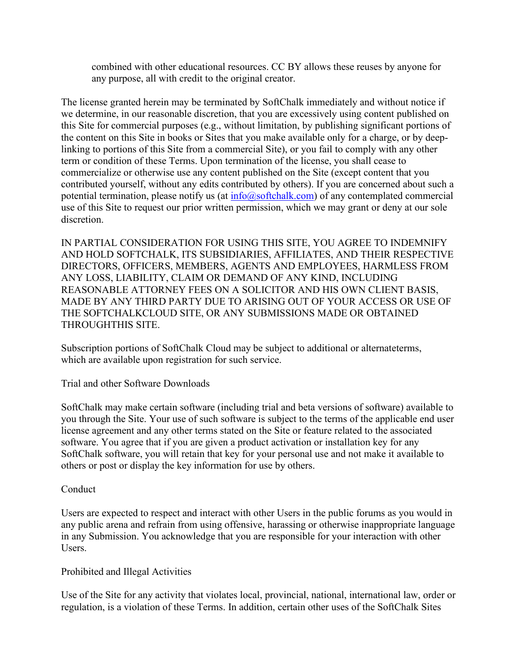combined with other educational resources. CC BY allows these reuses by anyone for any purpose, all with credit to the original creator.

The license granted herein may be terminated by SoftChalk immediately and without notice if we determine, in our reasonable discretion, that you are excessively using content published on this Site for commercial purposes (e.g., without limitation, by publishing significant portions of the content on this Site in books or Sites that you make available only for a charge, or by deeplinking to portions of this Site from a commercial Site), or you fail to comply with any other term or condition of these Terms. Upon termination of the license, you shall cease to commercialize or otherwise use any content published on the Site (except content that you contributed yourself, without any edits contributed by others). If you are concerned about such a potential termination, please notify us (at [info@softchalk.com\)](mailto:info@softchalk.com) of any contemplated commercial use of this Site to request our prior written permission, which we may grant or deny at our sole discretion.

IN PARTIAL CONSIDERATION FOR USING THIS SITE, YOU AGREE TO INDEMNIFY AND HOLD SOFTCHALK, ITS SUBSIDIARIES, AFFILIATES, AND THEIR RESPECTIVE DIRECTORS, OFFICERS, MEMBERS, AGENTS AND EMPLOYEES, HARMLESS FROM ANY LOSS, LIABILITY, CLAIM OR DEMAND OF ANY KIND, INCLUDING REASONABLE ATTORNEY FEES ON A SOLICITOR AND HIS OWN CLIENT BASIS, MADE BY ANY THIRD PARTY DUE TO ARISING OUT OF YOUR ACCESS OR USE OF THE SOFTCHALKCLOUD SITE, OR ANY SUBMISSIONS MADE OR OBTAINED THROUGHTHIS SITE.

Subscription portions of SoftChalk Cloud may be subject to additional or alternateterms, which are available upon registration for such service.

Trial and other Software Downloads

SoftChalk may make certain software (including trial and beta versions of software) available to you through the Site. Your use of such software is subject to the terms of the applicable end user license agreement and any other terms stated on the Site or feature related to the associated software. You agree that if you are given a product activation or installation key for any SoftChalk software, you will retain that key for your personal use and not make it available to others or post or display the key information for use by others.

# Conduct

Users are expected to respect and interact with other Users in the public forums as you would in any public arena and refrain from using offensive, harassing or otherwise inappropriate language in any Submission. You acknowledge that you are responsible for your interaction with other Users.

# Prohibited and Illegal Activities

Use of the Site for any activity that violates local, provincial, national, international law, order or regulation, is a violation of these Terms. In addition, certain other uses of the SoftChalk Sites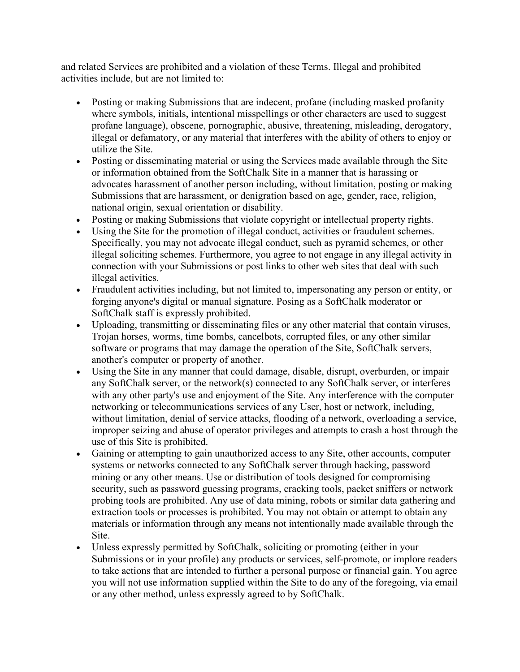and related Services are prohibited and a violation of these Terms. Illegal and prohibited activities include, but are not limited to:

- Posting or making Submissions that are indecent, profane (including masked profanity where symbols, initials, intentional misspellings or other characters are used to suggest profane language), obscene, pornographic, abusive, threatening, misleading, derogatory, illegal or defamatory, or any material that interferes with the ability of others to enjoy or utilize the Site.
- Posting or disseminating material or using the Services made available through the Site or information obtained from the SoftChalk Site in a manner that is harassing or advocates harassment of another person including, without limitation, posting or making Submissions that are harassment, or denigration based on age, gender, race, religion, national origin, sexual orientation or disability.
- Posting or making Submissions that violate copyright or intellectual property rights.
- Using the Site for the promotion of illegal conduct, activities or fraudulent schemes. Specifically, you may not advocate illegal conduct, such as pyramid schemes, or other illegal soliciting schemes. Furthermore, you agree to not engage in any illegal activity in connection with your Submissions or post links to other web sites that deal with such illegal activities.
- Fraudulent activities including, but not limited to, impersonating any person or entity, or forging anyone's digital or manual signature. Posing as a SoftChalk moderator or SoftChalk staff is expressly prohibited.
- Uploading, transmitting or disseminating files or any other material that contain viruses, Trojan horses, worms, time bombs, cancelbots, corrupted files, or any other similar software or programs that may damage the operation of the Site, SoftChalk servers, another's computer or property of another.
- Using the Site in any manner that could damage, disable, disrupt, overburden, or impair any SoftChalk server, or the network(s) connected to any SoftChalk server, or interferes with any other party's use and enjoyment of the Site. Any interference with the computer networking or telecommunications services of any User, host or network, including, without limitation, denial of service attacks, flooding of a network, overloading a service, improper seizing and abuse of operator privileges and attempts to crash a host through the use of this Site is prohibited.
- Gaining or attempting to gain unauthorized access to any Site, other accounts, computer systems or networks connected to any SoftChalk server through hacking, password mining or any other means. Use or distribution of tools designed for compromising security, such as password guessing programs, cracking tools, packet sniffers or network probing tools are prohibited. Any use of data mining, robots or similar data gathering and extraction tools or processes is prohibited. You may not obtain or attempt to obtain any materials or information through any means not intentionally made available through the Site.
- Unless expressly permitted by SoftChalk, soliciting or promoting (either in your Submissions or in your profile) any products or services, self-promote, or implore readers to take actions that are intended to further a personal purpose or financial gain. You agree you will not use information supplied within the Site to do any of the foregoing, via email or any other method, unless expressly agreed to by SoftChalk.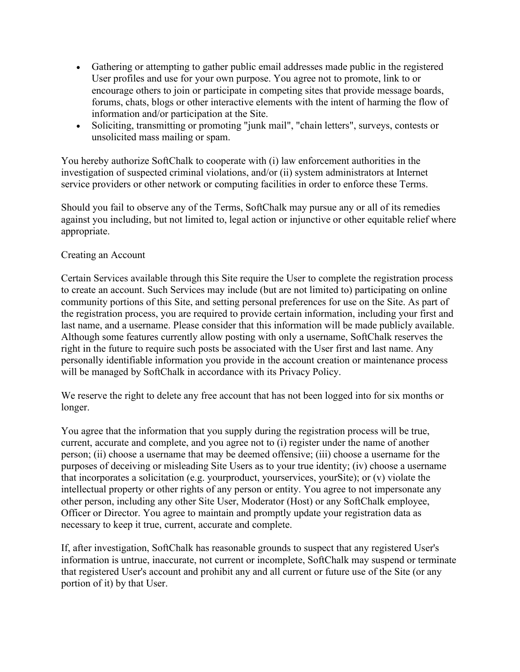- Gathering or attempting to gather public email addresses made public in the registered User profiles and use for your own purpose. You agree not to promote, link to or encourage others to join or participate in competing sites that provide message boards, forums, chats, blogs or other interactive elements with the intent of harming the flow of information and/or participation at the Site.
- Soliciting, transmitting or promoting "junk mail", "chain letters", surveys, contests or unsolicited mass mailing or spam.

You hereby authorize SoftChalk to cooperate with (i) law enforcement authorities in the investigation of suspected criminal violations, and/or (ii) system administrators at Internet service providers or other network or computing facilities in order to enforce these Terms.

Should you fail to observe any of the Terms, SoftChalk may pursue any or all of its remedies against you including, but not limited to, legal action or injunctive or other equitable relief where appropriate.

## Creating an Account

Certain Services available through this Site require the User to complete the registration process to create an account. Such Services may include (but are not limited to) participating on online community portions of this Site, and setting personal preferences for use on the Site. As part of the registration process, you are required to provide certain information, including your first and last name, and a username. Please consider that this information will be made publicly available. Although some features currently allow posting with only a username, SoftChalk reserves the right in the future to require such posts be associated with the User first and last name. Any personally identifiable information you provide in the account creation or maintenance process will be managed by SoftChalk in accordance with its Privacy Policy.

We reserve the right to delete any free account that has not been logged into for six months or longer.

You agree that the information that you supply during the registration process will be true, current, accurate and complete, and you agree not to (i) register under the name of another person; (ii) choose a username that may be deemed offensive; (iii) choose a username for the purposes of deceiving or misleading Site Users as to your true identity; (iv) choose a username that incorporates a solicitation (e.g. yourproduct, yourservices, yourSite); or (v) violate the intellectual property or other rights of any person or entity. You agree to not impersonate any other person, including any other Site User, Moderator (Host) or any SoftChalk employee, Officer or Director. You agree to maintain and promptly update your registration data as necessary to keep it true, current, accurate and complete.

If, after investigation, SoftChalk has reasonable grounds to suspect that any registered User's information is untrue, inaccurate, not current or incomplete, SoftChalk may suspend or terminate that registered User's account and prohibit any and all current or future use of the Site (or any portion of it) by that User.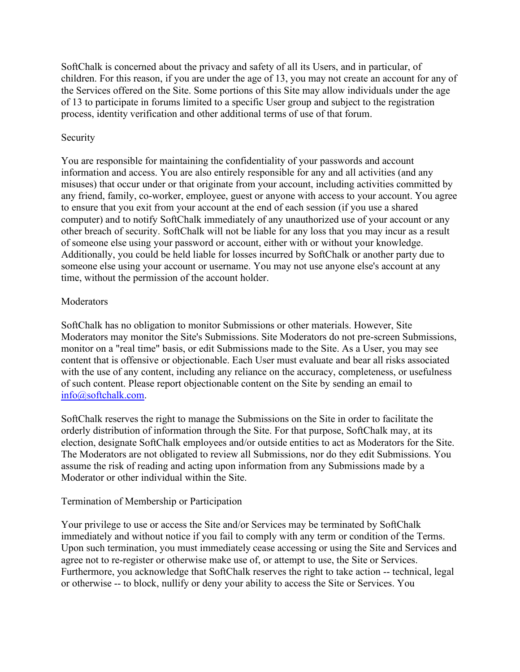SoftChalk is concerned about the privacy and safety of all its Users, and in particular, of children. For this reason, if you are under the age of 13, you may not create an account for any of the Services offered on the Site. Some portions of this Site may allow individuals under the age of 13 to participate in forums limited to a specific User group and subject to the registration process, identity verification and other additional terms of use of that forum.

## Security

You are responsible for maintaining the confidentiality of your passwords and account information and access. You are also entirely responsible for any and all activities (and any misuses) that occur under or that originate from your account, including activities committed by any friend, family, co-worker, employee, guest or anyone with access to your account. You agree to ensure that you exit from your account at the end of each session (if you use a shared computer) and to notify SoftChalk immediately of any unauthorized use of your account or any other breach of security. SoftChalk will not be liable for any loss that you may incur as a result of someone else using your password or account, either with or without your knowledge. Additionally, you could be held liable for losses incurred by SoftChalk or another party due to someone else using your account or username. You may not use anyone else's account at any time, without the permission of the account holder.

## Moderators

SoftChalk has no obligation to monitor Submissions or other materials. However, Site Moderators may monitor the Site's Submissions. Site Moderators do not pre-screen Submissions, monitor on a "real time" basis, or edit Submissions made to the Site. As a User, you may see content that is offensive or objectionable. Each User must evaluate and bear all risks associated with the use of any content, including any reliance on the accuracy, completeness, or usefulness of such content. Please report objectionable content on the Site by sending an email to [info@softchalk.com.](mailto:info@softchalk.com)

SoftChalk reserves the right to manage the Submissions on the Site in order to facilitate the orderly distribution of information through the Site. For that purpose, SoftChalk may, at its election, designate SoftChalk employees and/or outside entities to act as Moderators for the Site. The Moderators are not obligated to review all Submissions, nor do they edit Submissions. You assume the risk of reading and acting upon information from any Submissions made by a Moderator or other individual within the Site.

# Termination of Membership or Participation

Your privilege to use or access the Site and/or Services may be terminated by SoftChalk immediately and without notice if you fail to comply with any term or condition of the Terms. Upon such termination, you must immediately cease accessing or using the Site and Services and agree not to re-register or otherwise make use of, or attempt to use, the Site or Services. Furthermore, you acknowledge that SoftChalk reserves the right to take action -- technical, legal or otherwise -- to block, nullify or deny your ability to access the Site or Services. You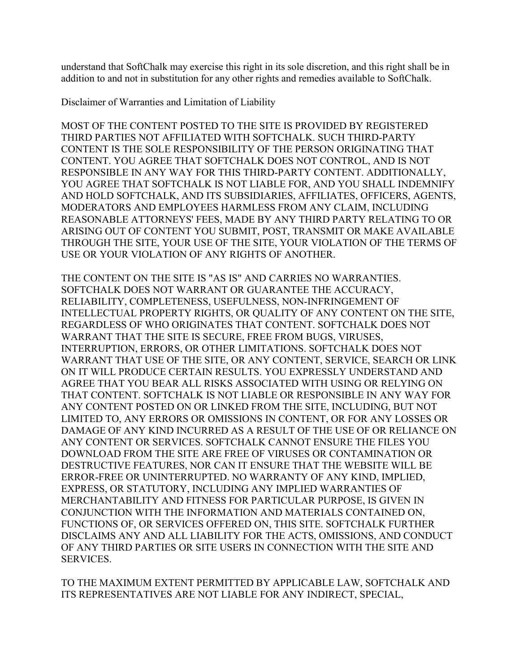understand that SoftChalk may exercise this right in its sole discretion, and this right shall be in addition to and not in substitution for any other rights and remedies available to SoftChalk.

Disclaimer of Warranties and Limitation of Liability

MOST OF THE CONTENT POSTED TO THE SITE IS PROVIDED BY REGISTERED THIRD PARTIES NOT AFFILIATED WITH SOFTCHALK. SUCH THIRD-PARTY CONTENT IS THE SOLE RESPONSIBILITY OF THE PERSON ORIGINATING THAT CONTENT. YOU AGREE THAT SOFTCHALK DOES NOT CONTROL, AND IS NOT RESPONSIBLE IN ANY WAY FOR THIS THIRD-PARTY CONTENT. ADDITIONALLY, YOU AGREE THAT SOFTCHALK IS NOT LIABLE FOR, AND YOU SHALL INDEMNIFY AND HOLD SOFTCHALK, AND ITS SUBSIDIARIES, AFFILIATES, OFFICERS, AGENTS, MODERATORS AND EMPLOYEES HARMLESS FROM ANY CLAIM, INCLUDING REASONABLE ATTORNEYS' FEES, MADE BY ANY THIRD PARTY RELATING TO OR ARISING OUT OF CONTENT YOU SUBMIT, POST, TRANSMIT OR MAKE AVAILABLE THROUGH THE SITE, YOUR USE OF THE SITE, YOUR VIOLATION OF THE TERMS OF USE OR YOUR VIOLATION OF ANY RIGHTS OF ANOTHER.

THE CONTENT ON THE SITE IS "AS IS" AND CARRIES NO WARRANTIES. SOFTCHALK DOES NOT WARRANT OR GUARANTEE THE ACCURACY, RELIABILITY, COMPLETENESS, USEFULNESS, NON-INFRINGEMENT OF INTELLECTUAL PROPERTY RIGHTS, OR QUALITY OF ANY CONTENT ON THE SITE, REGARDLESS OF WHO ORIGINATES THAT CONTENT. SOFTCHALK DOES NOT WARRANT THAT THE SITE IS SECURE, FREE FROM BUGS, VIRUSES, INTERRUPTION, ERRORS, OR OTHER LIMITATIONS. SOFTCHALK DOES NOT WARRANT THAT USE OF THE SITE, OR ANY CONTENT, SERVICE, SEARCH OR LINK ON IT WILL PRODUCE CERTAIN RESULTS. YOU EXPRESSLY UNDERSTAND AND AGREE THAT YOU BEAR ALL RISKS ASSOCIATED WITH USING OR RELYING ON THAT CONTENT. SOFTCHALK IS NOT LIABLE OR RESPONSIBLE IN ANY WAY FOR ANY CONTENT POSTED ON OR LINKED FROM THE SITE, INCLUDING, BUT NOT LIMITED TO, ANY ERRORS OR OMISSIONS IN CONTENT, OR FOR ANY LOSSES OR DAMAGE OF ANY KIND INCURRED AS A RESULT OF THE USE OF OR RELIANCE ON ANY CONTENT OR SERVICES. SOFTCHALK CANNOT ENSURE THE FILES YOU DOWNLOAD FROM THE SITE ARE FREE OF VIRUSES OR CONTAMINATION OR DESTRUCTIVE FEATURES, NOR CAN IT ENSURE THAT THE WEBSITE WILL BE ERROR-FREE OR UNINTERRUPTED. NO WARRANTY OF ANY KIND, IMPLIED, EXPRESS, OR STATUTORY, INCLUDING ANY IMPLIED WARRANTIES OF MERCHANTABILITY AND FITNESS FOR PARTICULAR PURPOSE, IS GIVEN IN CONJUNCTION WITH THE INFORMATION AND MATERIALS CONTAINED ON, FUNCTIONS OF, OR SERVICES OFFERED ON, THIS SITE. SOFTCHALK FURTHER DISCLAIMS ANY AND ALL LIABILITY FOR THE ACTS, OMISSIONS, AND CONDUCT OF ANY THIRD PARTIES OR SITE USERS IN CONNECTION WITH THE SITE AND SERVICES.

TO THE MAXIMUM EXTENT PERMITTED BY APPLICABLE LAW, SOFTCHALK AND ITS REPRESENTATIVES ARE NOT LIABLE FOR ANY INDIRECT, SPECIAL,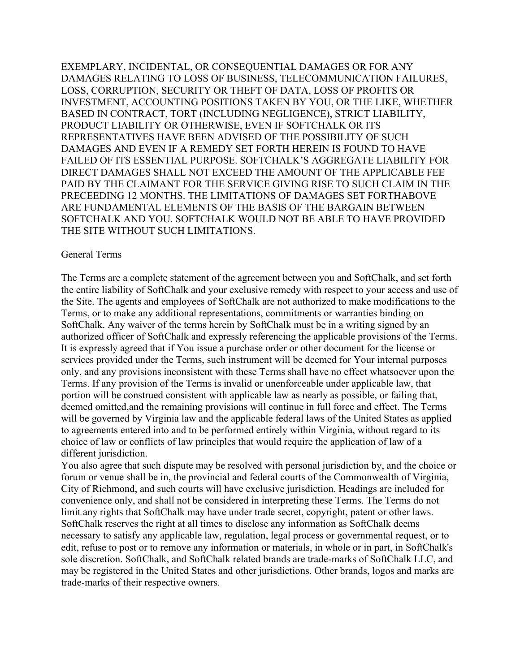EXEMPLARY, INCIDENTAL, OR CONSEQUENTIAL DAMAGES OR FOR ANY DAMAGES RELATING TO LOSS OF BUSINESS, TELECOMMUNICATION FAILURES, LOSS, CORRUPTION, SECURITY OR THEFT OF DATA, LOSS OF PROFITS OR INVESTMENT, ACCOUNTING POSITIONS TAKEN BY YOU, OR THE LIKE, WHETHER BASED IN CONTRACT, TORT (INCLUDING NEGLIGENCE), STRICT LIABILITY, PRODUCT LIABILITY OR OTHERWISE, EVEN IF SOFTCHALK OR ITS REPRESENTATIVES HAVE BEEN ADVISED OF THE POSSIBILITY OF SUCH DAMAGES AND EVEN IF A REMEDY SET FORTH HEREIN IS FOUND TO HAVE FAILED OF ITS ESSENTIAL PURPOSE. SOFTCHALK'S AGGREGATE LIABILITY FOR DIRECT DAMAGES SHALL NOT EXCEED THE AMOUNT OF THE APPLICABLE FEE PAID BY THE CLAIMANT FOR THE SERVICE GIVING RISE TO SUCH CLAIM IN THE PRECEEDING 12 MONTHS. THE LIMITATIONS OF DAMAGES SET FORTHABOVE ARE FUNDAMENTAL ELEMENTS OF THE BASIS OF THE BARGAIN BETWEEN SOFTCHALK AND YOU. SOFTCHALK WOULD NOT BE ABLE TO HAVE PROVIDED THE SITE WITHOUT SUCH LIMITATIONS.

#### General Terms

The Terms are a complete statement of the agreement between you and SoftChalk, and set forth the entire liability of SoftChalk and your exclusive remedy with respect to your access and use of the Site. The agents and employees of SoftChalk are not authorized to make modifications to the Terms, or to make any additional representations, commitments or warranties binding on SoftChalk. Any waiver of the terms herein by SoftChalk must be in a writing signed by an authorized officer of SoftChalk and expressly referencing the applicable provisions of the Terms. It is expressly agreed that if You issue a purchase order or other document for the license or services provided under the Terms, such instrument will be deemed for Your internal purposes only, and any provisions inconsistent with these Terms shall have no effect whatsoever upon the Terms. If any provision of the Terms is invalid or unenforceable under applicable law, that portion will be construed consistent with applicable law as nearly as possible, or failing that, deemed omitted,and the remaining provisions will continue in full force and effect. The Terms will be governed by Virginia law and the applicable federal laws of the United States as applied to agreements entered into and to be performed entirely within Virginia, without regard to its choice of law or conflicts of law principles that would require the application of law of a different jurisdiction.

You also agree that such dispute may be resolved with personal jurisdiction by, and the choice or forum or venue shall be in, the provincial and federal courts of the Commonwealth of Virginia, City of Richmond, and such courts will have exclusive jurisdiction. Headings are included for convenience only, and shall not be considered in interpreting these Terms. The Terms do not limit any rights that SoftChalk may have under trade secret, copyright, patent or other laws. SoftChalk reserves the right at all times to disclose any information as SoftChalk deems necessary to satisfy any applicable law, regulation, legal process or governmental request, or to edit, refuse to post or to remove any information or materials, in whole or in part, in SoftChalk's sole discretion. SoftChalk, and SoftChalk related brands are trade-marks of SoftChalk LLC, and may be registered in the United States and other jurisdictions. Other brands, logos and marks are trade-marks of their respective owners.